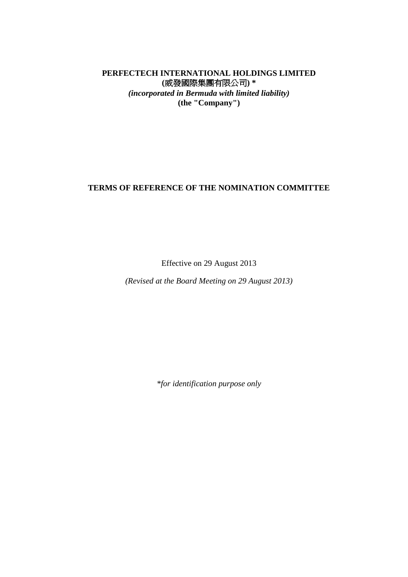# **PERFECTECH INTERNATIONAL HOLDINGS LIMITED (**威發國際集團有限公司**) \***  *(incorporated in Bermuda with limited liability)*  **(the "Company")**

# **TERMS OF REFERENCE OF THE NOMINATION COMMITTEE**

Effective on 29 August 2013

*(Revised at the Board Meeting on 29 August 2013)*

*\*for identification purpose only*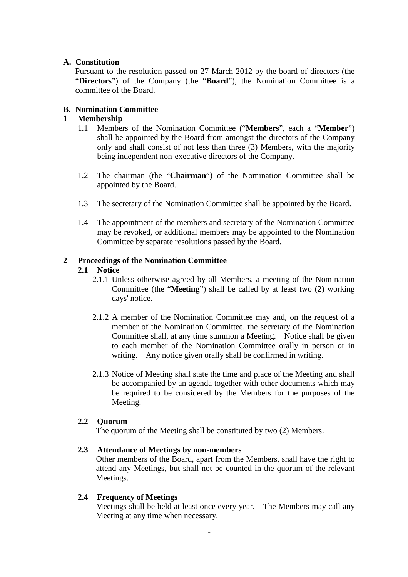### **A. Constitution**

Pursuant to the resolution passed on 27 March 2012 by the board of directors (the "**Directors**") of the Company (the "**Board**"), the Nomination Committee is a committee of the Board.

## **B. Nomination Committee**

## **1 Membership**

- 1.1 Members of the Nomination Committee ("**Members**", each a "**Member**") shall be appointed by the Board from amongst the directors of the Company only and shall consist of not less than three (3) Members, with the majority being independent non-executive directors of the Company.
- 1.2 The chairman (the "**Chairman**") of the Nomination Committee shall be appointed by the Board.
- 1.3 The secretary of the Nomination Committee shall be appointed by the Board.
- 1.4 The appointment of the members and secretary of the Nomination Committee may be revoked, or additional members may be appointed to the Nomination Committee by separate resolutions passed by the Board.

### **2 Proceedings of the Nomination Committee**

### **2.1 Notice**

- 2.1.1 Unless otherwise agreed by all Members, a meeting of the Nomination Committee (the "**Meeting**") shall be called by at least two (2) working days' notice.
- 2.1.2 A member of the Nomination Committee may and, on the request of a member of the Nomination Committee, the secretary of the Nomination Committee shall, at any time summon a Meeting. Notice shall be given to each member of the Nomination Committee orally in person or in writing. Any notice given orally shall be confirmed in writing.
- 2.1.3 Notice of Meeting shall state the time and place of the Meeting and shall be accompanied by an agenda together with other documents which may be required to be considered by the Members for the purposes of the Meeting.

### **2.2 Quorum**

The quorum of the Meeting shall be constituted by two (2) Members.

### **2.3 Attendance of Meetings by non-members**

Other members of the Board, apart from the Members, shall have the right to attend any Meetings, but shall not be counted in the quorum of the relevant Meetings.

### **2.4 Frequency of Meetings**

Meetings shall be held at least once every year. The Members may call any Meeting at any time when necessary.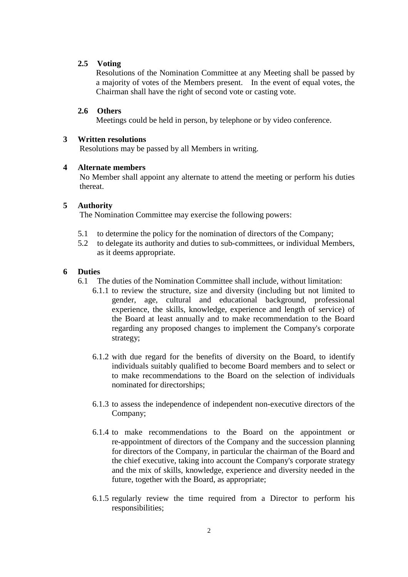#### **2.5 Voting**

Resolutions of the Nomination Committee at any Meeting shall be passed by a majority of votes of the Members present. In the event of equal votes, the Chairman shall have the right of second vote or casting vote.

#### **2.6 Others**

Meetings could be held in person, by telephone or by video conference.

#### **3 Written resolutions**

Resolutions may be passed by all Members in writing.

#### **4 Alternate members**

No Member shall appoint any alternate to attend the meeting or perform his duties thereat.

#### **5 Authority**

The Nomination Committee may exercise the following powers:

- 5.1 to determine the policy for the nomination of directors of the Company;
- 5.2 to delegate its authority and duties to sub-committees, or individual Members, as it deems appropriate.

#### **6 Duties**

- 6.1 The duties of the Nomination Committee shall include, without limitation:
	- 6.1.1 to review the structure, size and diversity (including but not limited to gender, age, cultural and educational background, professional experience, the skills, knowledge, experience and length of service) of the Board at least annually and to make recommendation to the Board regarding any proposed changes to implement the Company's corporate strategy;
	- 6.1.2 with due regard for the benefits of diversity on the Board, to identify individuals suitably qualified to become Board members and to select or to make recommendations to the Board on the selection of individuals nominated for directorships;
	- 6.1.3 to assess the independence of independent non-executive directors of the Company;
	- 6.1.4 to make recommendations to the Board on the appointment or re-appointment of directors of the Company and the succession planning for directors of the Company, in particular the chairman of the Board and the chief executive, taking into account the Company's corporate strategy and the mix of skills, knowledge, experience and diversity needed in the future, together with the Board, as appropriate;
	- 6.1.5 regularly review the time required from a Director to perform his responsibilities;